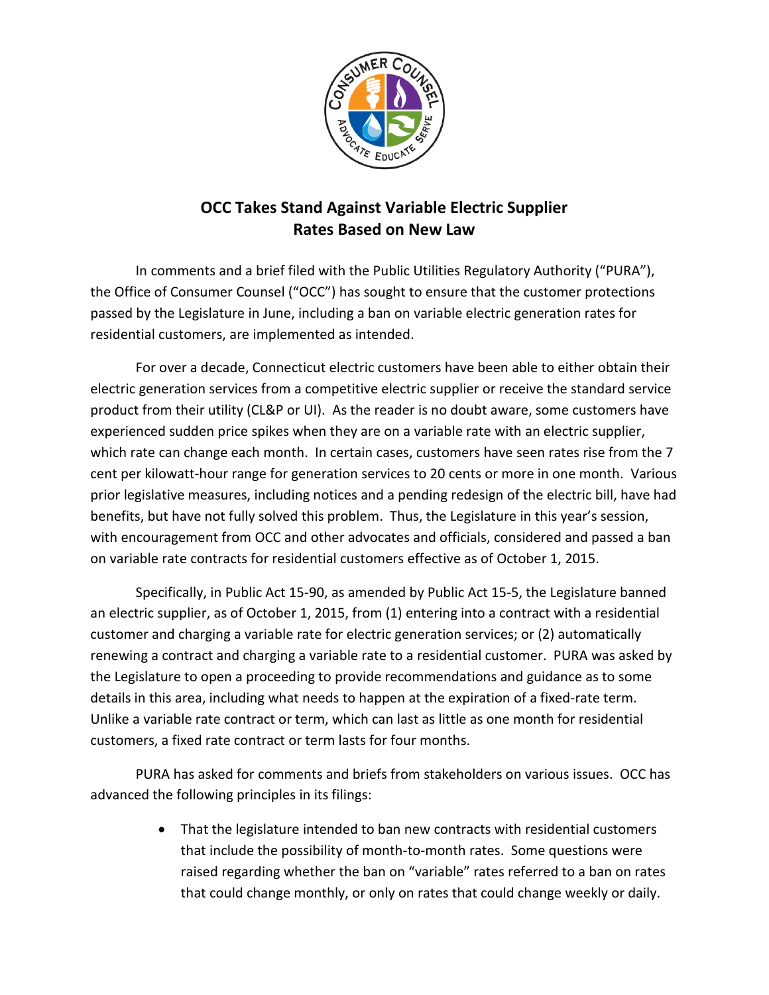

## **OCC Takes Stand Against Variable Electric Supplier Rates Based on New Law**

In comments and a brief filed with the Public Utilities Regulatory Authority ("PURA"), the Office of Consumer Counsel ("OCC") has sought to ensure that the customer protections passed by the Legislature in June, including a ban on variable electric generation rates for residential customers, are implemented as intended.

For over a decade, Connecticut electric customers have been able to either obtain their electric generation services from a competitive electric supplier or receive the standard service product from their utility (CL&P or UI). As the reader is no doubt aware, some customers have experienced sudden price spikes when they are on a variable rate with an electric supplier, which rate can change each month. In certain cases, customers have seen rates rise from the 7 cent per kilowatt-hour range for generation services to 20 cents or more in one month. Various prior legislative measures, including notices and a pending redesign of the electric bill, have had benefits, but have not fully solved this problem. Thus, the Legislature in this year's session, with encouragement from OCC and other advocates and officials, considered and passed a ban on variable rate contracts for residential customers effective as of October 1, 2015.

Specifically, in Public Act 15-90, as amended by Public Act 15-5, the Legislature banned an electric supplier, as of October 1, 2015, from (1) entering into a contract with a residential customer and charging a variable rate for electric generation services; or (2) automatically renewing a contract and charging a variable rate to a residential customer. PURA was asked by the Legislature to open a proceeding to provide recommendations and guidance as to some details in this area, including what needs to happen at the expiration of a fixed-rate term. Unlike a variable rate contract or term, which can last as little as one month for residential customers, a fixed rate contract or term lasts for four months.

PURA has asked for comments and briefs from stakeholders on various issues. OCC has advanced the following principles in its filings:

> • That the legislature intended to ban new contracts with residential customers that include the possibility of month-to-month rates. Some questions were raised regarding whether the ban on "variable" rates referred to a ban on rates that could change monthly, or only on rates that could change weekly or daily.